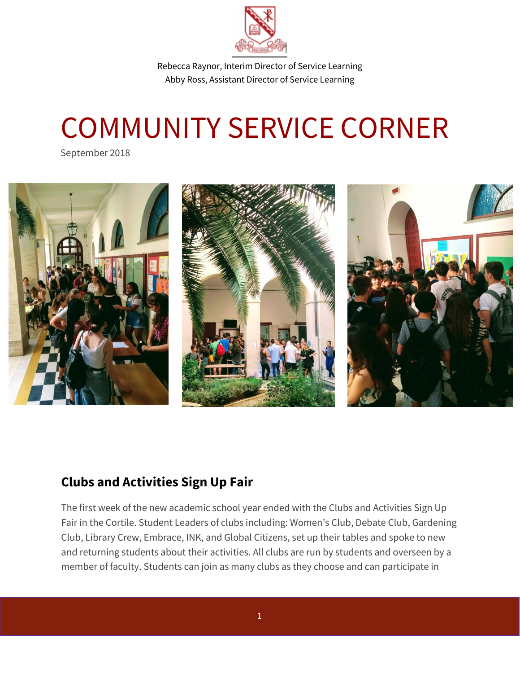

Rebecca Raynor, Interim Director of Service Learning Abby Ross, Assistant Director of Service Learning

## COMMUNITY SERVICE CORNER

September 2018



## **Clubs and Activities Sign Up Fair**

The first week of the new academic school year ended with the Clubs and Activities Sign Up Fair in the Cortile. Student Leaders of clubs including: Women's Club, Debate Club, Gardening Club, Library Crew, Embrace, INK, and Global Citizens, set up their tables and spoke to new and returning students about their activities. All clubs are run by students and overseen by a member of faculty. Students can join as many clubs as they choose and can participate in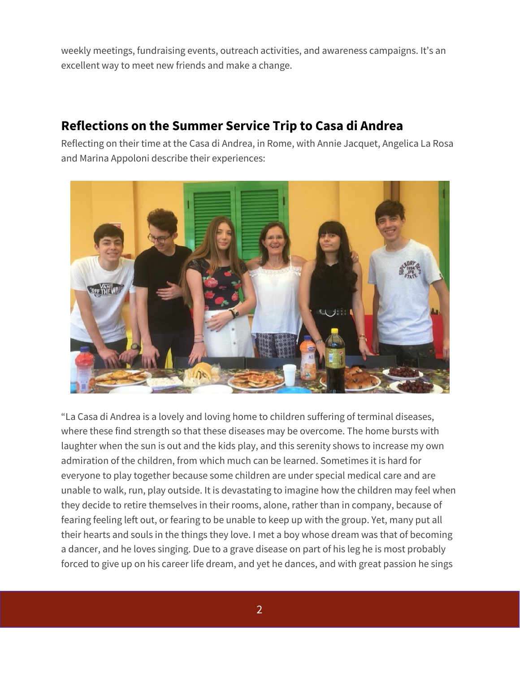weekly meetings, fundraising events, outreach activities, and awareness campaigns. It's an excellent way to meet new friends and make a change.

## **Reflections on the Summer Service Trip to Casa di Andrea**

Reflecting on their time at the Casa di Andrea, in Rome, with Annie Jacquet, Angelica La Rosa and Marina Appoloni describe their experiences:



"La Casa di Andrea is a lovely and loving home to children suffering of terminal diseases, where these find strength so that these diseases may be overcome. The home bursts with laughter when the sun is out and the kids play, and this serenity shows to increase my own admiration of the children, from which much can be learned. Sometimes it is hard for everyone to play together because some children are under special medical care and are unable to walk, run, play outside. It is devastating to imagine how the children may feel when they decide to retire themselves in their rooms, alone, rather than in company, because of fearing feeling left out, or fearing to be unable to keep up with the group. Yet, many put all their hearts and souls in the things they love. I met a boy whose dream was that of becoming a dancer, and he loves singing. Due to a grave disease on part of his leg he is most probably forced to give up on his career life dream, and yet he dances, and with great passion he sings